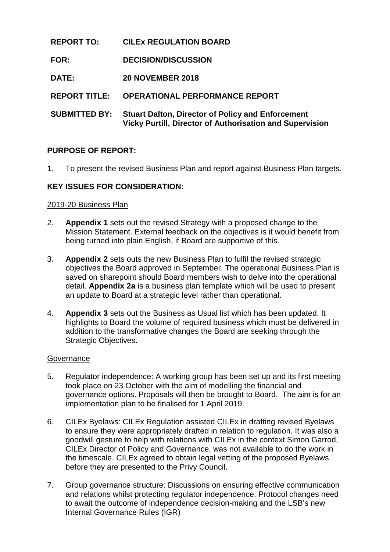# **REPORT TO: CILEx REGULATION BOARD**

- **FOR: DECISION/DISCUSSION**
- **DATE: 20 NOVEMBER 2018**

**REPORT TITLE: OPERATIONAL PERFORMANCE REPORT**

**SUBMITTED BY: Stuart Dalton, Director of Policy and Enforcement Vicky Purtill, Director of Authorisation and Supervision**

# **PURPOSE OF REPORT:**

1. To present the revised Business Plan and report against Business Plan targets.

# **KEY ISSUES FOR CONSIDERATION:**

### 2019-20 Business Plan

- 2. **Appendix 1** sets out the revised Strategy with a proposed change to the Mission Statement. External feedback on the objectives is it would benefit from being turned into plain English, if Board are supportive of this.
- 3. **Appendix 2** sets outs the new Business Plan to fulfil the revised strategic objectives the Board approved in September. The operational Business Plan is saved on sharepoint should Board members wish to delve into the operational detail. **Appendix 2a** is a business plan template which will be used to present an update to Board at a strategic level rather than operational.
- 4. **Appendix 3** sets out the Business as Usual list which has been updated. It highlights to Board the volume of required business which must be delivered in addition to the transformative changes the Board are seeking through the Strategic Objectives.

### **Governance**

- 5. Regulator independence: A working group has been set up and its first meeting took place on 23 October with the aim of modelling the financial and governance options. Proposals will then be brought to Board. The aim is for an implementation plan to be finalised for 1 April 2019.
- 6. CILEx Byelaws: CILEx Regulation assisted CILEx in drafting revised Byelaws to ensure they were appropriately drafted in relation to regulation. It was also a goodwill gesture to help with relations with CILEx in the context Simon Garrod, CILEx Director of Policy and Governance, was not available to do the work in the timescale. CILEx agreed to obtain legal vetting of the proposed Byelaws before they are presented to the Privy Council.
- 7. Group governance structure: Discussions on ensuring effective communication and relations whilst protecting regulator independence. Protocol changes need to await the outcome of independence decision-making and the LSB's new Internal Governance Rules (IGR)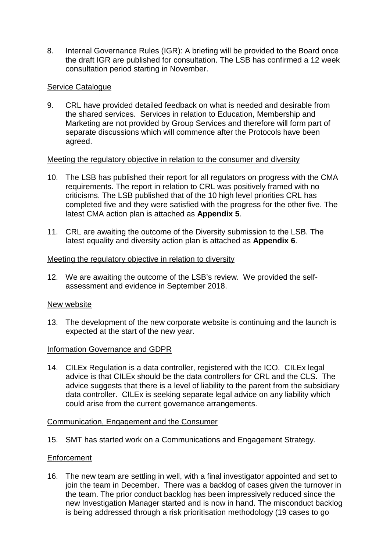8. Internal Governance Rules (IGR): A briefing will be provided to the Board once the draft IGR are published for consultation. The LSB has confirmed a 12 week consultation period starting in November.

### Service Catalogue

9. CRL have provided detailed feedback on what is needed and desirable from the shared services. Services in relation to Education, Membership and Marketing are not provided by Group Services and therefore will form part of separate discussions which will commence after the Protocols have been agreed.

### Meeting the regulatory objective in relation to the consumer and diversity

- 10. The LSB has published their report for all regulators on progress with the CMA requirements. The report in relation to CRL was positively framed with no criticisms. The LSB published that of the 10 high level priorities CRL has completed five and they were satisfied with the progress for the other five. The latest CMA action plan is attached as **Appendix 5**.
- 11. CRL are awaiting the outcome of the Diversity submission to the LSB. The latest equality and diversity action plan is attached as **Appendix 6**.

### Meeting the regulatory objective in relation to diversity

12. We are awaiting the outcome of the LSB's review. We provided the selfassessment and evidence in September 2018.

### New website

13. The development of the new corporate website is continuing and the launch is expected at the start of the new year.

### Information Governance and GDPR

14. CILEx Regulation is a data controller, registered with the ICO. CILEx legal advice is that CILEx should be the data controllers for CRL and the CLS. The advice suggests that there is a level of liability to the parent from the subsidiary data controller. CILEx is seeking separate legal advice on any liability which could arise from the current governance arrangements.

### Communication, Engagement and the Consumer

15. SMT has started work on a Communications and Engagement Strategy.

### **Enforcement**

16. The new team are settling in well, with a final investigator appointed and set to join the team in December. There was a backlog of cases given the turnover in the team. The prior conduct backlog has been impressively reduced since the new Investigation Manager started and is now in hand. The misconduct backlog is being addressed through a risk prioritisation methodology (19 cases to go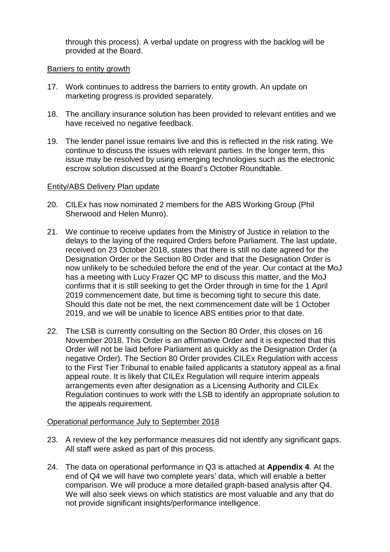through this process). A verbal update on progress with the backlog will be provided at the Board.

#### Barriers to entity growth

- 17. Work continues to address the barriers to entity growth. An update on marketing progress is provided separately.
- 18. The ancillary insurance solution has been provided to relevant entities and we have received no negative feedback.
- 19. The lender panel issue remains live and this is reflected in the risk rating. We continue to discuss the issues with relevant parties. In the longer term, this issue may be resolved by using emerging technologies such as the electronic escrow solution discussed at the Board's October Roundtable.

#### Entity/ABS Delivery Plan update

- 20. CILEx has now nominated 2 members for the ABS Working Group (Phil Sherwood and Helen Munro).
- 21. We continue to receive updates from the Ministry of Justice in relation to the delays to the laying of the required Orders before Parliament. The last update, received on 23 October 2018, states that there is still no date agreed for the Designation Order or the Section 80 Order and that the Designation Order is now unlikely to be scheduled before the end of the year. Our contact at the MoJ has a meeting with Lucy Frazer QC MP to discuss this matter, and the MoJ confirms that it is still seeking to get the Order through in time for the 1 April 2019 commencement date, but time is becoming tight to secure this date. Should this date not be met, the next commencement date will be 1 October 2019, and we will be unable to licence ABS entities prior to that date.
- 22. The LSB is currently consulting on the Section 80 Order, this closes on 16 November 2018. This Order is an affirmative Order and it is expected that this Order will not be laid before Parliament as quickly as the Designation Order (a negative Order). The Section 80 Order provides CILEx Regulation with access to the First Tier Tribunal to enable failed applicants a statutory appeal as a final appeal route. It is likely that CILEx Regulation will require interim appeals arrangements even after designation as a Licensing Authority and CILEx Regulation continues to work with the LSB to identify an appropriate solution to the appeals requirement.

### Operational performance July to September 2018

- 23. A review of the key performance measures did not identify any significant gaps. All staff were asked as part of this process.
- 24. The data on operational performance in Q3 is attached at **Appendix 4**. At the end of Q4 we will have two complete years' data, which will enable a better comparison. We will produce a more detailed graph-based analysis after Q4. We will also seek views on which statistics are most valuable and any that do not provide significant insights/performance intelligence.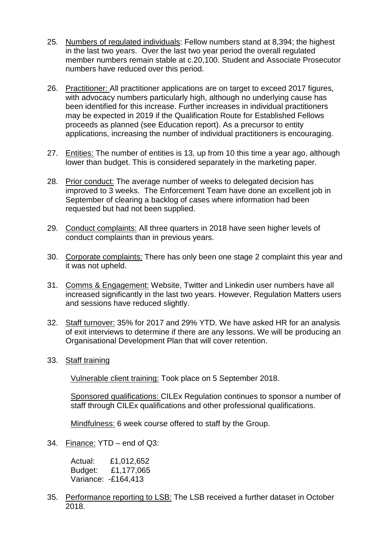- 25. Numbers of regulated individuals: Fellow numbers stand at 8,394; the highest in the last two years. Over the last two year period the overall regulated member numbers remain stable at c.20,100. Student and Associate Prosecutor numbers have reduced over this period.
- 26. Practitioner: All practitioner applications are on target to exceed 2017 figures, with advocacy numbers particularly high, although no underlying cause has been identified for this increase. Further increases in individual practitioners may be expected in 2019 if the Qualification Route for Established Fellows proceeds as planned (see Education report). As a precursor to entity applications, increasing the number of individual practitioners is encouraging.
- 27. Entities: The number of entities is 13, up from 10 this time a year ago, although lower than budget. This is considered separately in the marketing paper.
- 28. Prior conduct: The average number of weeks to delegated decision has improved to 3 weeks. The Enforcement Team have done an excellent job in September of clearing a backlog of cases where information had been requested but had not been supplied.
- 29. Conduct complaints: All three quarters in 2018 have seen higher levels of conduct complaints than in previous years.
- 30. Corporate complaints: There has only been one stage 2 complaint this year and it was not upheld.
- 31. Comms & Engagement: Website, Twitter and Linkedin user numbers have all increased significantly in the last two years. However, Regulation Matters users and sessions have reduced slightly.
- 32. Staff turnover: 35% for 2017 and 29% YTD. We have asked HR for an analysis of exit interviews to determine if there are any lessons. We will be producing an Organisational Development Plan that will cover retention.
- 33. Staff training

Vulnerable client training: Took place on 5 September 2018.

Sponsored qualifications: CILEx Regulation continues to sponsor a number of staff through CILEx qualifications and other professional qualifications.

Mindfulness: 6 week course offered to staff by the Group.

34. Finance: YTD – end of Q3:

| Actual: | £1,012,652          |
|---------|---------------------|
| Budget: | £1,177,065          |
|         | Variance: -£164,413 |

35. Performance reporting to LSB: The LSB received a further dataset in October 2018.